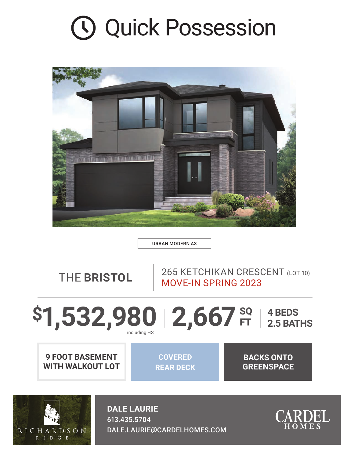## Quick Possession



URBAN MODERN A3

THE **BRISTOL** 265 KETCHIKAN CRESCENT (LOT 10) MOVE-IN SPRING 2023

## 2,667<sup>sq</sup> **4 BEDS 2.5 BATHS** \$1,532,980

**9 FOOT BASEMENT WITH WALKOUT LOT**

**COVERED REAR DECK**

**BACKS ONTO GREENSPACE**



**DALE LAURIE** 613.435.5704 DALE.LAURIE@CARDELHOMES.COM